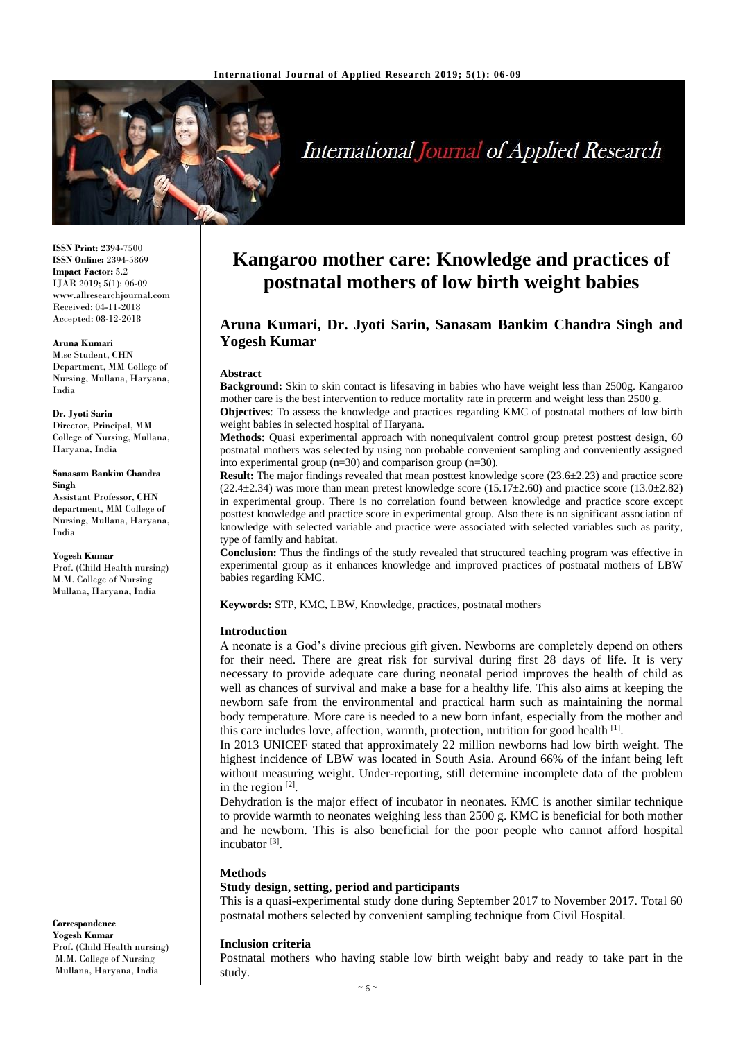

# **International Journal of Applied Research**

**ISSN Print:** 2394-7500 **ISSN Online:** 2394-5869 **Impact Factor:** 5.2 IJAR 2019; 5(1): 06-09 www.allresearchjournal.com Received: 04-11-2018 Accepted: 08-12-2018

#### **Aruna Kumari**

M.sc Student, CHN Department, MM College of Nursing, Mullana, Haryana, India

#### **Dr. Jyoti Sarin**

Director, Principal, MM College of Nursing, Mullana, Haryana, India

#### **Sanasam Bankim Chandra Singh**

Assistant Professor, CHN department, MM College of Nursing, Mullana, Haryana, India

#### **Yogesh Kumar**

Prof. (Child Health nursing) M.M. College of Nursing Mullana, Haryana, India

**Correspondence Yogesh Kumar** Prof. (Child Health nursing) M.M. College of Nursing Mullana, Haryana, India

## **Kangaroo mother care: Knowledge and practices of postnatal mothers of low birth weight babies**

## **Aruna Kumari, Dr. Jyoti Sarin, Sanasam Bankim Chandra Singh and Yogesh Kumar**

#### **Abstract**

**Background:** Skin to skin contact is lifesaving in babies who have weight less than 2500g. Kangaroo mother care is the best intervention to reduce mortality rate in preterm and weight less than 2500 g. **Objectives**: To assess the knowledge and practices regarding KMC of postnatal mothers of low birth

weight babies in selected hospital of Haryana. **Methods:** Quasi experimental approach with nonequivalent control group pretest posttest design, 60 postnatal mothers was selected by using non probable convenient sampling and conveniently assigned into experimental group (n=30) and comparison group (n=30).

**Result:** The major findings revealed that mean posttest knowledge score (23.6 $\pm$ 2.23) and practice score  $(22.4\pm 2.34)$  was more than mean pretest knowledge score  $(15.17\pm 2.60)$  and practice score  $(13.0\pm 2.82)$ in experimental group. There is no correlation found between knowledge and practice score except posttest knowledge and practice score in experimental group. Also there is no significant association of knowledge with selected variable and practice were associated with selected variables such as parity, type of family and habitat.

**Conclusion:** Thus the findings of the study revealed that structured teaching program was effective in experimental group as it enhances knowledge and improved practices of postnatal mothers of LBW babies regarding KMC.

**Keywords:** STP, KMC, LBW, Knowledge, practices, postnatal mothers

#### **Introduction**

A neonate is a God's divine precious gift given. Newborns are completely depend on others for their need. There are great risk for survival during first 28 days of life. It is very necessary to provide adequate care during neonatal period improves the health of child as well as chances of survival and make a base for a healthy life. This also aims at keeping the newborn safe from the environmental and practical harm such as maintaining the normal body temperature. More care is needed to a new born infant, especially from the mother and this care includes love, affection, warmth, protection, nutrition for good health [1].

In 2013 UNICEF stated that approximately 22 million newborns had low birth weight. The highest incidence of LBW was located in South Asia. Around 66% of the infant being left without measuring weight. Under-reporting, still determine incomplete data of the problem in the region  $[2]$ .

Dehydration is the major effect of incubator in neonates. KMC is another similar technique to provide warmth to neonates weighing less than 2500 g. KMC is beneficial for both mother and he newborn. This is also beneficial for the poor people who cannot afford hospital incubator<sup>[3]</sup>.

#### **Methods**

#### **Study design, setting, period and participants**

This is a quasi-experimental study done during September 2017 to November 2017. Total 60 postnatal mothers selected by convenient sampling technique from Civil Hospital.

#### **Inclusion criteria**

Postnatal mothers who having stable low birth weight baby and ready to take part in the study.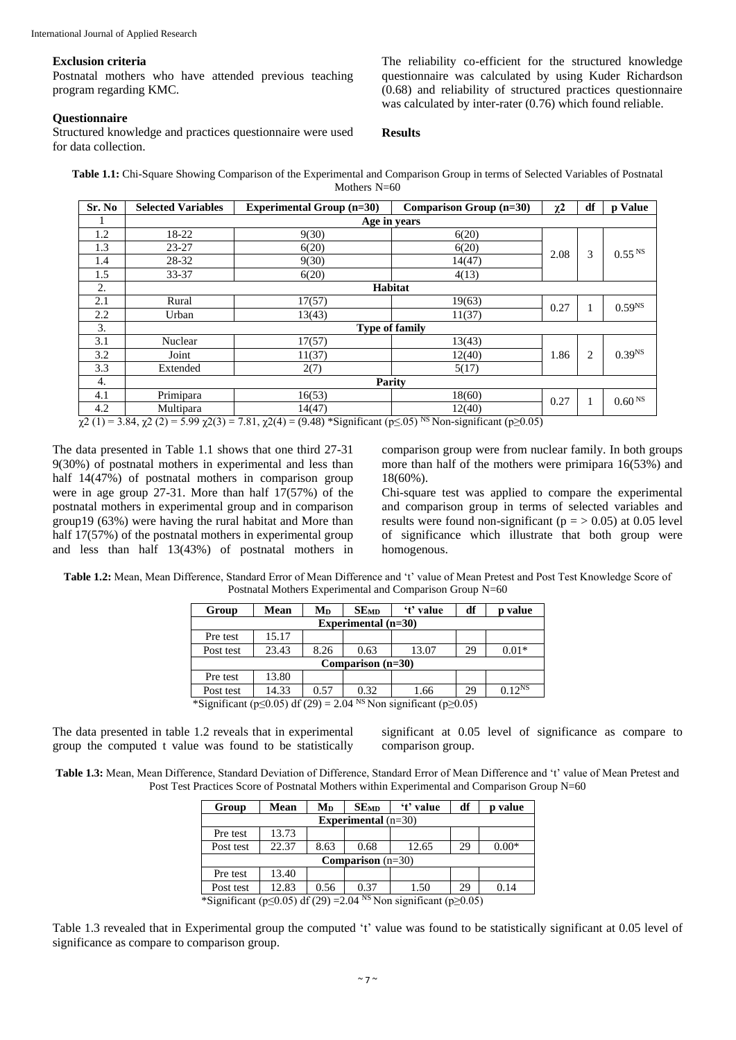#### **Exclusion criteria**

Postnatal mothers who have attended previous teaching program regarding KMC.

The reliability co-efficient for the structured knowledge questionnaire was calculated by using Kuder Richardson (0.68) and reliability of structured practices questionnaire was calculated by inter-rater (0.76) which found reliable.

### **Questionnaire**

Structured knowledge and practices questionnaire were used for data collection.

**Results**

**Table 1.1:** Chi-Square Showing Comparison of the Experimental and Comparison Group in terms of Selected Variables of Postnatal Mothers N=60

| Sr. No | <b>Selected Variables</b>          | <b>Experimental Group (n=30)</b> | Comparison Group (n=30)                              | $\chi^2$ | df | p Value              |  |  |  |
|--------|------------------------------------|----------------------------------|------------------------------------------------------|----------|----|----------------------|--|--|--|
|        | Age in years                       |                                  |                                                      |          |    |                      |  |  |  |
| 1.2    | 18-22                              | 9(30)                            | 6(20)                                                |          |    |                      |  |  |  |
| 1.3    | $23 - 27$                          | 6(20)                            | 6(20)                                                | 2.08     | 3  | $0.55$ <sup>NS</sup> |  |  |  |
| 1.4    | 28-32                              | 9(30)                            | 14(47)                                               |          |    |                      |  |  |  |
| 1.5    | 33-37                              | 6(20)                            | 4(13)                                                |          |    |                      |  |  |  |
| 2.     |                                    | <b>Habitat</b>                   |                                                      |          |    |                      |  |  |  |
| 2.1    | Rural                              | 17(57)                           | 19(63)                                               | 0.27     | 1  | 0.59 <sup>NS</sup>   |  |  |  |
| 2.2    | Urban                              | 13(43)                           | 11(37)                                               |          |    |                      |  |  |  |
| 3.     | <b>Type of family</b>              |                                  |                                                      |          |    |                      |  |  |  |
| 3.1    | Nuclear                            | 17(57)                           | 13(43)                                               |          |    |                      |  |  |  |
| 3.2    | Joint                              | 11(37)                           | 12(40)                                               | 1.86     | 2  | 0.39 <sup>NS</sup>   |  |  |  |
| 3.3    | Extended                           | 2(7)                             | 5(17)                                                |          |    |                      |  |  |  |
| 4.     | Parity                             |                                  |                                                      |          |    |                      |  |  |  |
| 4.1    | Primipara                          | 16(53)                           | 18(60)                                               | 0.27     | 1  | 0.60 <sup>NS</sup>   |  |  |  |
| 4.2    | Multipara                          | 14(47)                           | 12(40)                                               |          |    |                      |  |  |  |
| 2(1)   | $2.04 \pm 0.02$ $\pm 0.0 \pm 0.03$ | $7.01 \quad 2(4)$                | $(0.40) * 0$ ; $C = (0.60)$ NS M $(0.40)$ + $(0.80)$ |          |    |                      |  |  |  |

 $\chi^2$  (1) = 3.84,  $\chi^2$  (2) = 5.99  $\chi^2$ (3) = 7.81,  $\chi^2$ (4) = (9.48) \*Significant (p≤.05)<sup>NS</sup> Non-significant (p≤0.05)

The data presented in Table 1.1 shows that one third 27-31 9(30%) of postnatal mothers in experimental and less than half 14(47%) of postnatal mothers in comparison group were in age group 27-31. More than half 17(57%) of the postnatal mothers in experimental group and in comparison group19 (63%) were having the rural habitat and More than half  $17(57%)$  of the postnatal mothers in experimental group and less than half 13(43%) of postnatal mothers in comparison group were from nuclear family. In both groups more than half of the mothers were primipara 16(53%) and 18(60%).

Chi-square test was applied to compare the experimental and comparison group in terms of selected variables and results were found non-significant ( $p = > 0.05$ ) at 0.05 level of significance which illustrate that both group were homogenous.

**Table 1.2:** Mean, Mean Difference, Standard Error of Mean Difference and 't' value of Mean Pretest and Post Test Knowledge Score of Postnatal Mothers Experimental and Comparison Group N=60

| Group                                                                                       | Mean  | Mp   | SEMD | 't' value | df | p value     |  |  |  |  |
|---------------------------------------------------------------------------------------------|-------|------|------|-----------|----|-------------|--|--|--|--|
| Experimental $(n=30)$                                                                       |       |      |      |           |    |             |  |  |  |  |
| Pre test                                                                                    | 15.17 |      |      |           |    |             |  |  |  |  |
| Post test                                                                                   | 23.43 | 8.26 | 0.63 | 13.07     | 29 | $0.01*$     |  |  |  |  |
| Comparison $(n=30)$                                                                         |       |      |      |           |    |             |  |  |  |  |
| Pre test                                                                                    | 13.80 |      |      |           |    |             |  |  |  |  |
| Post test                                                                                   | 14.33 | 0.57 | 0.32 | 1.66      | 29 | $0.12^{NS}$ |  |  |  |  |
| *Significant ( $p \le 0.05$ ) df (29) = 2.04 <sup>NS</sup> Non significant ( $p \ge 0.05$ ) |       |      |      |           |    |             |  |  |  |  |

The data presented in table 1.2 reveals that in experimental group the computed t value was found to be statistically significant at 0.05 level of significance as compare to comparison group.

**Table 1.3:** Mean, Mean Difference, Standard Deviation of Difference, Standard Error of Mean Difference and 't' value of Mean Pretest and Post Test Practices Score of Postnatal Mothers within Experimental and Comparison Group N=60

| <b>Mean</b>                | Mn   | SEMD | 't' value | df | <b>p</b> value |  |  |  |  |
|----------------------------|------|------|-----------|----|----------------|--|--|--|--|
| Experimental $(n=30)$      |      |      |           |    |                |  |  |  |  |
| 13.73                      |      |      |           |    |                |  |  |  |  |
| 22.37                      | 8.63 | 0.68 | 12.65     | 29 | $0.00*$        |  |  |  |  |
| <b>Comparison</b> $(n=30)$ |      |      |           |    |                |  |  |  |  |
| 13.40                      |      |      |           |    |                |  |  |  |  |
| 12.83                      | 0.56 | 0.37 | 1.50      | 29 | 0.14           |  |  |  |  |
|                            |      |      |           |    |                |  |  |  |  |

\*Significant (p≤0.05) df (29) = 2.04<sup>NS</sup> Non significant (p≥0.05)

Table 1.3 revealed that in Experimental group the computed 't' value was found to be statistically significant at 0.05 level of significance as compare to comparison group.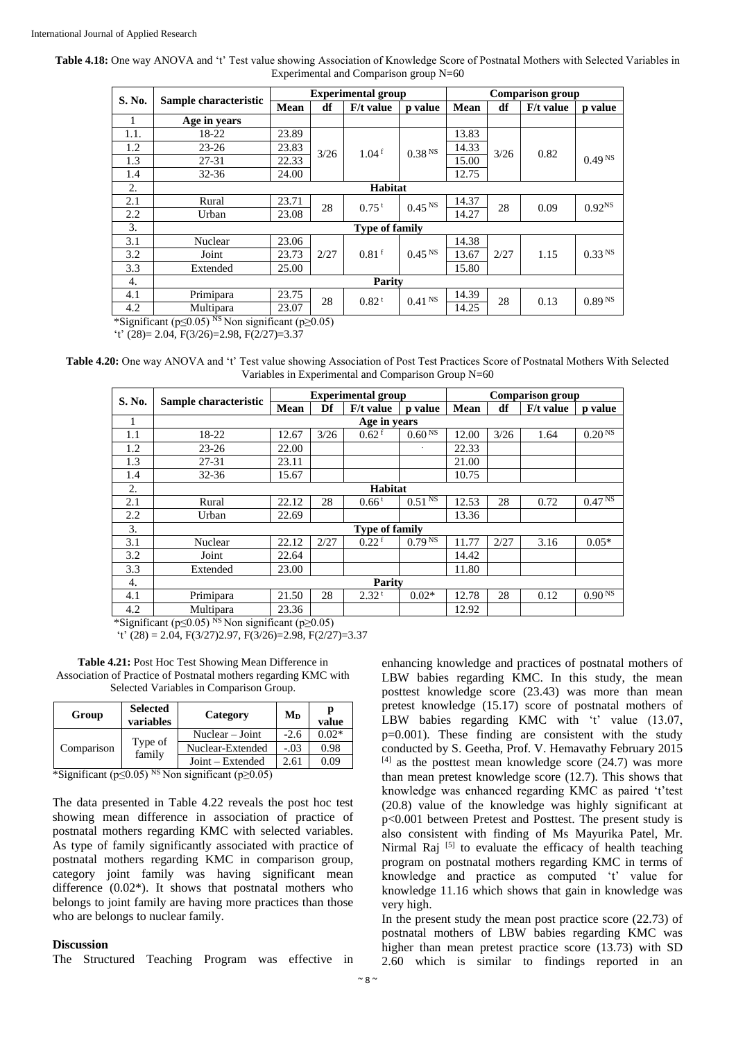Table 4.18: One way ANOVA and 't' Test value showing Association of Knowledge Score of Postnatal Mothers with Selected Variables in Experimental and Comparison group N=60

|                                                                                                                                                                                                                                                                                          | Sample characteristic | <b>Experimental group</b> |      |                     |                    | <b>Comparison group</b> |      |             |                    |  |
|------------------------------------------------------------------------------------------------------------------------------------------------------------------------------------------------------------------------------------------------------------------------------------------|-----------------------|---------------------------|------|---------------------|--------------------|-------------------------|------|-------------|--------------------|--|
| S. No.                                                                                                                                                                                                                                                                                   |                       | Mean                      | df   | F/t value           | p value            | <b>Mean</b>             | df   | $F/t$ value | p value            |  |
|                                                                                                                                                                                                                                                                                          | Age in years          |                           |      |                     |                    |                         |      |             |                    |  |
| 1.1.                                                                                                                                                                                                                                                                                     | 18-22                 | 23.89                     |      |                     |                    | 13.83                   |      |             |                    |  |
| 1.2                                                                                                                                                                                                                                                                                      | $23 - 26$             | 23.83                     | 3/26 | 1.04 <sup>f</sup>   | 0.38 <sup>NS</sup> | 14.33                   | 3/26 | 0.82        |                    |  |
| 1.3                                                                                                                                                                                                                                                                                      | 27-31                 | 22.33                     |      |                     |                    | 15.00                   |      |             | 0.49 <sup>NS</sup> |  |
| 1.4                                                                                                                                                                                                                                                                                      | $32 - 36$             | 24.00                     |      |                     |                    | 12.75                   |      |             |                    |  |
| 2.                                                                                                                                                                                                                                                                                       |                       | Habitat                   |      |                     |                    |                         |      |             |                    |  |
| 2.1                                                                                                                                                                                                                                                                                      | Rural                 | 23.71                     | 28   | $0.75$ <sup>t</sup> | 0.45 <sup>NS</sup> | 14.37                   | 28   | 0.09        | 0.92 <sup>NS</sup> |  |
| 2.2                                                                                                                                                                                                                                                                                      | Urban                 | 23.08                     |      |                     |                    | 14.27                   |      |             |                    |  |
| 3.                                                                                                                                                                                                                                                                                       |                       | <b>Type of family</b>     |      |                     |                    |                         |      |             |                    |  |
| 3.1                                                                                                                                                                                                                                                                                      | Nuclear               | 23.06                     |      |                     |                    | 14.38                   |      |             |                    |  |
| 3.2                                                                                                                                                                                                                                                                                      | Joint                 | 23.73                     | 2/27 | $0.81$ <sup>f</sup> | 0.45 <sup>NS</sup> | 13.67                   | 2/27 | 1.15        | 0.33 <sup>NS</sup> |  |
| 3.3                                                                                                                                                                                                                                                                                      | Extended              | 25.00                     |      |                     | 15.80              |                         |      |             |                    |  |
| 4.                                                                                                                                                                                                                                                                                       |                       | Parity                    |      |                     |                    |                         |      |             |                    |  |
| 4.1                                                                                                                                                                                                                                                                                      | Primipara             | 23.75                     | 28   | 0.82 <sup>t</sup>   | 0.41 <sup>NS</sup> | 14.39                   | 28   | 0.13        | $0.89^{\rm\,NS}$   |  |
| 4.2                                                                                                                                                                                                                                                                                      | Multipara             | 23.07                     |      |                     |                    | 14.25                   |      |             |                    |  |
| $*$ C $\sim$ $($ $\sim$ $($ $\sim$ $($ $\sim$ $($ $\sim$ $($ $\sim$ $($ $\sim$ $($ $\sim$ $($ $\sim$ $($ $\sim$ $($ $\sim$ $($ $\sim$ $($ $\sim$ $($ $\sim$ $\sim$ $($ $\sim$ $\sim$ $($ $\sim$ $\sim$ $($ $\sim$ $\sim$ $($ $\sim$ $\sim$ $\sim$ $\sim$ $($ $\sim$ $\sim$ $\sim$ $\sim$ |                       |                           |      |                     |                    |                         |      |             |                    |  |

\*Significant (p≤0.05)<sup>NS</sup> Non significant (p≥0.05)

't'  $(28) = 2.04$ ,  $F(3/26) = 2.98$ ,  $F(2/27) = 3.37$ 

**Table 4.20:** One way ANOVA and 't' Test value showing Association of Post Test Practices Score of Postnatal Mothers With Selected Variables in Experimental and Comparison Group N=60

| S. No. | Sample characteristic | <b>Experimental group</b> |                       |                     |                        | <b>Comparison</b> group |      |             |                    |
|--------|-----------------------|---------------------------|-----------------------|---------------------|------------------------|-------------------------|------|-------------|--------------------|
|        |                       | <b>Mean</b>               | Df                    | $F/t$ value         | <b>p</b> value         | <b>Mean</b>             | df   | $F/t$ value | p value            |
|        |                       |                           |                       | Age in years        |                        |                         |      |             |                    |
| 1.1    | 18-22                 | 12.67                     | 3/26                  | 0.62 <sup>f</sup>   | 0.60 <sup>NS</sup>     | 12.00                   | 3/26 | 1.64        | 0.20 <sup>NS</sup> |
| 1.2    | $23 - 26$             | 22.00                     |                       |                     |                        | 22.33                   |      |             |                    |
| 1.3    | 27-31                 | 23.11                     |                       |                     |                        | 21.00                   |      |             |                    |
| 1.4    | $32 - 36$             | 15.67                     |                       |                     |                        | 10.75                   |      |             |                    |
| 2.     | Habitat               |                           |                       |                     |                        |                         |      |             |                    |
| 2.1    | Rural                 | 22.12                     | 28                    | $0.66^{\mathrm{t}}$ | $0.5\overline{1^{NS}}$ | 12.53                   | 28   | 0.72        | 0.47 <sup>NS</sup> |
| 2.2    | Urban                 | 22.69                     |                       |                     |                        | 13.36                   |      |             |                    |
| 3.     |                       |                           | <b>Type of family</b> |                     |                        |                         |      |             |                    |
| 3.1    | Nuclear               | 22.12                     | 2/27                  | $0.22$ <sup>f</sup> | 0.79 <sup>NS</sup>     | 11.77                   | 2/27 | 3.16        | $0.05*$            |
| 3.2    | Joint                 | 22.64                     |                       |                     |                        | 14.42                   |      |             |                    |
| 3.3    | Extended              | 23.00                     |                       |                     |                        | 11.80                   |      |             |                    |
| 4.     | Parity                |                           |                       |                     |                        |                         |      |             |                    |
| 4.1    | Primipara             | 21.50                     | 28                    | 2.32 <sup>t</sup>   | $0.02*$                | 12.78                   | 28   | 0.12        | 0.90 <sup>NS</sup> |
| 4.2    | Multipara             | 23.36                     |                       |                     |                        | 12.92                   |      |             |                    |

\*Significant ( $p \le 0.05$ ) <sup>NS</sup> Non significant ( $p \ge 0.05$ )

't' (28) = 2.04, F(3/27)2.97, F(3/26)=2.98, F(2/27)=3.37

**Table 4.21:** Post Hoc Test Showing Mean Difference in Association of Practice of Postnatal mothers regarding KMC with Selected Variables in Comparison Group.

| Group      | <b>Selected</b><br>variables | Category           | $M_D$  | value   |
|------------|------------------------------|--------------------|--------|---------|
| Comparison | Type of<br>family            | Nuclear – Joint    | $-2.6$ | $0.02*$ |
|            |                              | Nuclear-Extended   | $-.03$ | 0.98    |
|            |                              | $Joint - Extended$ | 2.61   | 0.09    |

\*Significant ( $p \le 0.05$ ) <sup>NS</sup> Non significant ( $p \ge 0.05$ )

The data presented in Table 4.22 reveals the post hoc test showing mean difference in association of practice of postnatal mothers regarding KMC with selected variables. As type of family significantly associated with practice of postnatal mothers regarding KMC in comparison group, category joint family was having significant mean difference  $(0.02^*)$ . It shows that postnatal mothers who belongs to joint family are having more practices than those who are belongs to nuclear family.

#### **Discussion**

The Structured Teaching Program was effective in

enhancing knowledge and practices of postnatal mothers of LBW babies regarding KMC. In this study, the mean posttest knowledge score (23.43) was more than mean pretest knowledge (15.17) score of postnatal mothers of LBW babies regarding KMC with 't' value (13.07, p=0.001). These finding are consistent with the study conducted by S. Geetha, Prof. V. Hemavathy February 2015  $[4]$  as the posttest mean knowledge score (24.7) was more than mean pretest knowledge score (12.7). This shows that knowledge was enhanced regarding KMC as paired 't'test (20.8) value of the knowledge was highly significant at p<0.001 between Pretest and Posttest. The present study is also consistent with finding of Ms Mayurika Patel, Mr. Nirmal Raj <a>[5]</a> to evaluate the efficacy of health teaching program on postnatal mothers regarding KMC in terms of knowledge and practice as computed 't' value for knowledge 11.16 which shows that gain in knowledge was very high.

In the present study the mean post practice score (22.73) of postnatal mothers of LBW babies regarding KMC was higher than mean pretest practice score (13.73) with SD 2.60 which is similar to findings reported in an